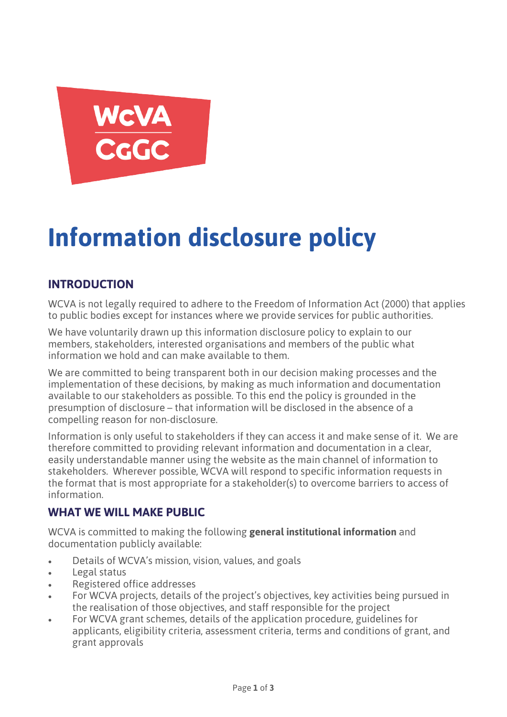

# **Information disclosure policy**

## **INTRODUCTION**

WCVA is not legally required to adhere to the Freedom of Information Act (2000) that applies to public bodies except for instances where we provide services for public authorities.

We have voluntarily drawn up this information disclosure policy to explain to our members, stakeholders, interested organisations and members of the public what information we hold and can make available to them.

We are committed to being transparent both in our decision making processes and the implementation of these decisions, by making as much information and documentation available to our stakeholders as possible. To this end the policy is grounded in the presumption of disclosure – that information will be disclosed in the absence of a compelling reason for non-disclosure.

Information is only useful to stakeholders if they can access it and make sense of it. We are therefore committed to providing relevant information and documentation in a clear, easily understandable manner using the website as the main channel of information to stakeholders. Wherever possible, WCVA will respond to specific information requests in the format that is most appropriate for a stakeholder(s) to overcome barriers to access of information.

### **WHAT WE WILL MAKE PUBLIC**

WCVA is committed to making the following **general institutional information** and documentation publicly available:

- Details of WCVA's mission, vision, values, and goals
- Legal status
- Registered office addresses
- For WCVA projects, details of the project's objectives, key activities being pursued in the realisation of those objectives, and staff responsible for the project
- For WCVA grant schemes, details of the application procedure, guidelines for applicants, eligibility criteria, assessment criteria, terms and conditions of grant, and grant approvals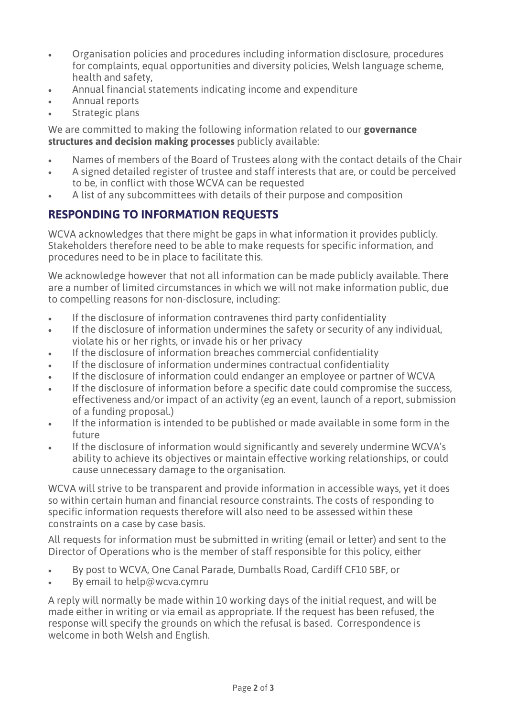- Organisation policies and procedures including information disclosure, procedures for complaints, equal opportunities and diversity policies, Welsh language scheme, health and safety,
- Annual financial statements indicating income and expenditure
- Annual reports
- Strategic plans

We are committed to making the following information related to our **governance structures and decision making processes** publicly available:

- Names of members of the Board of Trustees along with the contact details of the Chair
- A signed detailed register of trustee and staff interests that are, or could be perceived to be, in conflict with those WCVA can be requested
- A list of any subcommittees with details of their purpose and composition

# **RESPONDING TO INFORMATION REQUESTS**

WCVA acknowledges that there might be gaps in what information it provides publicly. Stakeholders therefore need to be able to make requests for specific information, and procedures need to be in place to facilitate this.

We acknowledge however that not all information can be made publicly available. There are a number of limited circumstances in which we will not make information public, due to compelling reasons for non-disclosure, including:

- If the disclosure of information contravenes third party confidentiality
- If the disclosure of information undermines the safety or security of any individual, violate his or her rights, or invade his or her privacy
- If the disclosure of information breaches commercial confidentiality
- If the disclosure of information undermines contractual confidentiality
- If the disclosure of information could endanger an employee or partner of WCVA
- If the disclosure of information before a specific date could compromise the success, effectiveness and/or impact of an activity (*eg* an event, launch of a report, submission of a funding proposal.)
- If the information is intended to be published or made available in some form in the future
- If the disclosure of information would significantly and severely undermine WCVA's ability to achieve its objectives or maintain effective working relationships, or could cause unnecessary damage to the organisation.

WCVA will strive to be transparent and provide information in accessible ways, yet it does so within certain human and financial resource constraints. The costs of responding to specific information requests therefore will also need to be assessed within these constraints on a case by case basis.

All requests for information must be submitted in writing (email or letter) and sent to the Director of Operations who is the member of staff responsible for this policy, either

- By post to WCVA, One Canal Parade, Dumballs Road, Cardiff CF10 5BF, or
- By email to help@wcva.cymru

A reply will normally be made within 10 working days of the initial request, and will be made either in writing or via email as appropriate. If the request has been refused, the response will specify the grounds on which the refusal is based. Correspondence is welcome in both Welsh and English.